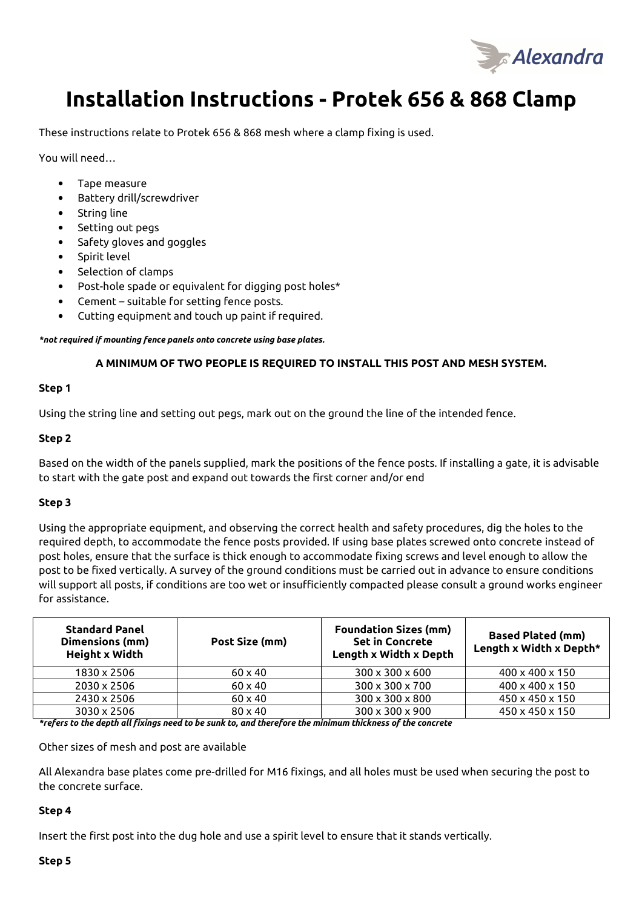

# **Installation Instructions - Protek 656 & 868 Clamp**

These instructions relate to Protek 656 & 868 mesh where a clamp fixing is used.

You will need…

- Tape measure
- Battery drill/screwdriver
- String line
- Setting out pegs
- Safety gloves and goggles
- Spirit level
- Selection of clamps
- Post-hole spade or equivalent for digging post holes\*
- Cement suitable for setting fence posts.
- Cutting equipment and touch up paint if required.

*\*not required if mounting fence panels onto concrete using base plates.* 

## **A MINIMUM OF TWO PEOPLE IS REQUIRED TO INSTALL THIS POST AND MESH SYSTEM.**

#### **Step 1**

Using the string line and setting out pegs, mark out on the ground the line of the intended fence.

#### **Step 2**

Based on the width of the panels supplied, mark the positions of the fence posts. If installing a gate, it is advisable to start with the gate post and expand out towards the first corner and/or end

## **Step 3**

Using the appropriate equipment, and observing the correct health and safety procedures, dig the holes to the required depth, to accommodate the fence posts provided. If using base plates screwed onto concrete instead of post holes, ensure that the surface is thick enough to accommodate fixing screws and level enough to allow the post to be fixed vertically. A survey of the ground conditions must be carried out in advance to ensure conditions will support all posts, if conditions are too wet or insufficiently compacted please consult a ground works engineer for assistance.

| <b>Standard Panel</b><br>Dimensions (mm)<br>Height x Width | Post Size (mm) | <b>Foundation Sizes (mm)</b><br><b>Set in Concrete</b><br>Length x Width x Depth | <b>Based Plated (mm)</b><br>Length x Width x Depth* |
|------------------------------------------------------------|----------------|----------------------------------------------------------------------------------|-----------------------------------------------------|
| 1830 x 2506                                                | $60 \times 40$ | $300 \times 300 \times 600$                                                      | 400 x 400 x 150                                     |
| 2030 x 2506                                                | $60 \times 40$ | 300 x 300 x 700                                                                  | 400 x 400 x 150                                     |
| 2430 x 2506                                                | $60 \times 40$ | 300 x 300 x 800                                                                  | 450 x 450 x 150                                     |
| 3030 x 2506                                                | $80 \times 40$ | $300 \times 300 \times 900$                                                      | 450 x 450 x 150                                     |

*\*refers to the depth all fixings need to be sunk to, and therefore the minimum thickness of the concrete* 

Other sizes of mesh and post are available

All Alexandra base plates come pre-drilled for M16 fixings, and all holes must be used when securing the post to the concrete surface.

## **Step 4**

Insert the first post into the dug hole and use a spirit level to ensure that it stands vertically.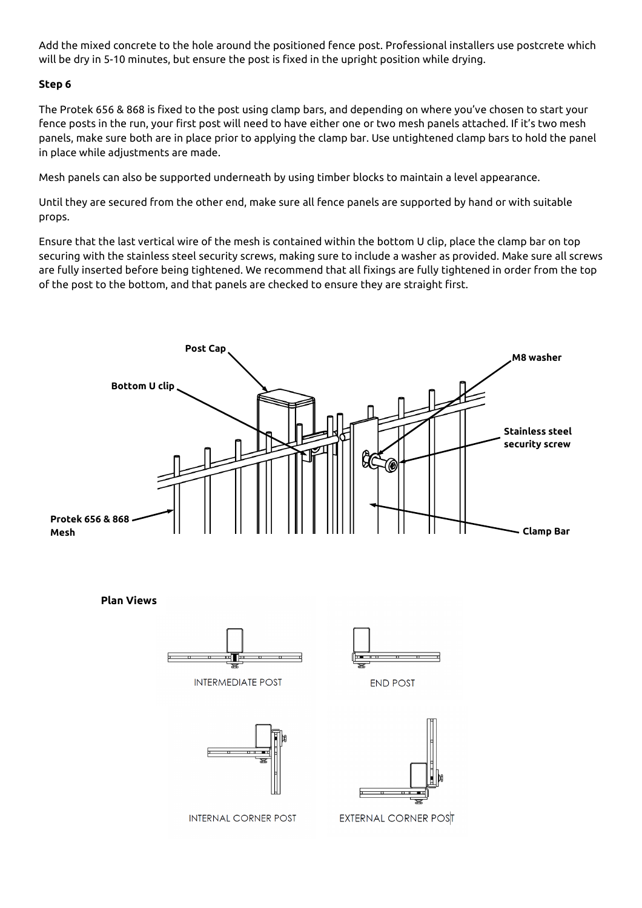Add the mixed concrete to the hole around the positioned fence post. Professional installers use postcrete which will be dry in 5-10 minutes, but ensure the post is fixed in the upright position while drying.

# **Step 6**

The Protek 656 & 868 is fixed to the post using clamp bars, and depending on where you've chosen to start your fence posts in the run, your first post will need to have either one or two mesh panels attached. If it's two mesh panels, make sure both are in place prior to applying the clamp bar. Use untightened clamp bars to hold the panel in place while adjustments are made.

Mesh panels can also be supported underneath by using timber blocks to maintain a level appearance.

Until they are secured from the other end, make sure all fence panels are supported by hand or with suitable props.

Ensure that the last vertical wire of the mesh is contained within the bottom U clip, place the clamp bar on top securing with the stainless steel security screws, making sure to include a washer as provided. Make sure all screws are fully inserted before being tightened. We recommend that all fixings are fully tightened in order from the top of the post to the bottom, and that panels are checked to ensure they are straight first.